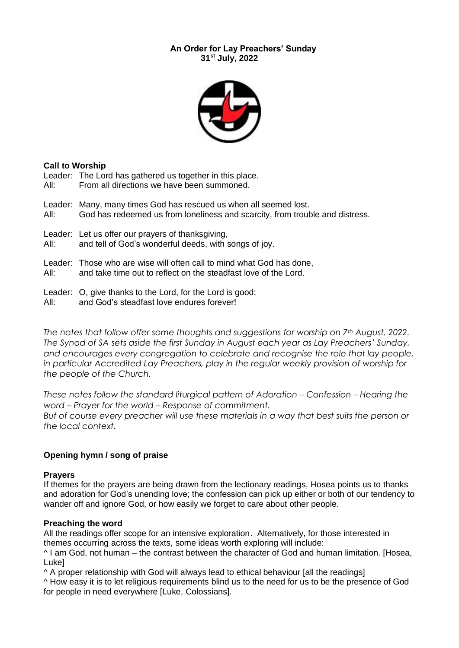### **An Order for Lay Preachers' Sunday 31st July, 2022**



### **Call to Worship**

Leader: The Lord has gathered us together in this place. All: From all directions we have been summoned.

Leader: Many, many times God has rescued us when all seemed lost. All: God has redeemed us from loneliness and scarcity, from trouble and distress.

- 
- Leader: Let us offer our prayers of thanksgiving,

All: and tell of God's wonderful deeds, with songs of joy.

Leader: Those who are wise will often call to mind what God has done,

All: and take time out to reflect on the steadfast love of the Lord.

- Leader: O, give thanks to the Lord, for the Lord is good;
- All: and God's steadfast love endures forever!

*The notes that follow offer some thoughts and suggestions for worship on 7th August, 2022. The Synod of SA sets aside the first Sunday in August each year as Lay Preachers' Sunday, and encourages every congregation to celebrate and recognise the role that lay people, in particular Accredited Lay Preachers, play in the regular weekly provision of worship for the people of the Church.*

*These notes follow the standard liturgical pattern of Adoration – Confession – Hearing the word – Prayer for the world – Response of commitment. But of course every preacher will use these materials in a way that best suits the person or* 

### **Opening hymn / song of praise**

#### **Prayers**

If themes for the prayers are being drawn from the lectionary readings, Hosea points us to thanks and adoration for God's unending love; the confession can pick up either or both of our tendency to wander off and ignore God, or how easily we forget to care about other people.

### **Preaching the word**

*the local context.*

All the readings offer scope for an intensive exploration. Alternatively, for those interested in themes occurring across the texts, some ideas worth exploring will include:

^ I am God, not human – the contrast between the character of God and human limitation. [Hosea, Luke]

^ A proper relationship with God will always lead to ethical behaviour [all the readings]

^ How easy it is to let religious requirements blind us to the need for us to be the presence of God for people in need everywhere [Luke, Colossians].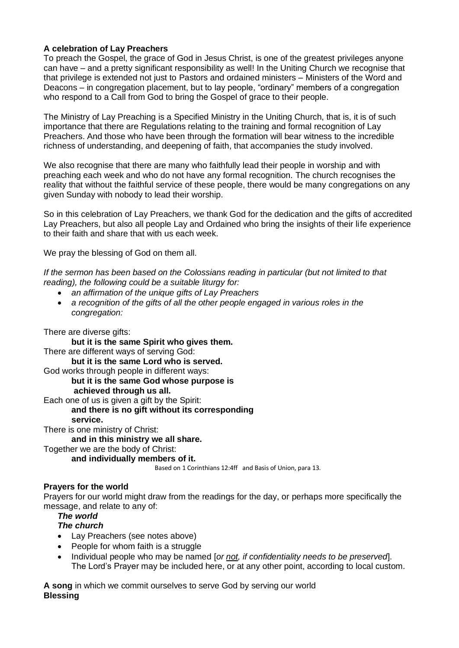## **A celebration of Lay Preachers**

To preach the Gospel, the grace of God in Jesus Christ, is one of the greatest privileges anyone can have – and a pretty significant responsibility as well! In the Uniting Church we recognise that that privilege is extended not just to Pastors and ordained ministers – Ministers of the Word and Deacons – in congregation placement, but to lay people, "ordinary" members of a congregation who respond to a Call from God to bring the Gospel of grace to their people.

The Ministry of Lay Preaching is a Specified Ministry in the Uniting Church, that is, it is of such importance that there are Regulations relating to the training and formal recognition of Lay Preachers. And those who have been through the formation will bear witness to the incredible richness of understanding, and deepening of faith, that accompanies the study involved.

We also recognise that there are many who faithfully lead their people in worship and with preaching each week and who do not have any formal recognition. The church recognises the reality that without the faithful service of these people, there would be many congregations on any given Sunday with nobody to lead their worship.

So in this celebration of Lay Preachers, we thank God for the dedication and the gifts of accredited Lay Preachers, but also all people Lay and Ordained who bring the insights of their life experience to their faith and share that with us each week.

We pray the blessing of God on them all.

*If the sermon has been based on the Colossians reading in particular (but not limited to that reading), the following could be a suitable liturgy for:*

- *an affirmation of the unique gifts of Lay Preachers*
- *a recognition of the gifts of all the other people engaged in various roles in the congregation:*

### There are diverse gifts:

**but it is the same Spirit who gives them.** There are different ways of serving God: **but it is the same Lord who is served.** God works through people in different ways: **but it is the same God whose purpose is achieved through us all.** Each one of us is given a gift by the Spirit:

**and there is no gift without its corresponding service.**

There is one ministry of Christ:

### **and in this ministry we all share.**

Together we are the body of Christ:

**and individually members of it.**

Based on 1 Corinthians 12:4ff and Basis of Union, para 13.

### **Prayers for the world**

Prayers for our world might draw from the readings for the day, or perhaps more specifically the message, and relate to any of:

## *The world*

## *The church*

- Lay Preachers (see notes above)
- People for whom faith is a struggle
- Individual people who may be named [*or not, if confidentiality needs to be preserved*]. The Lord's Prayer may be included here, or at any other point, according to local custom.

**A song** in which we commit ourselves to serve God by serving our world **Blessing**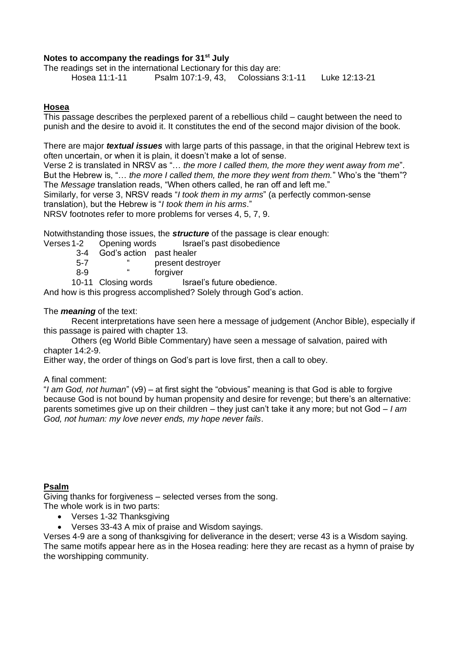#### **Notes to accompany the readings for 31st July**

The readings set in the international Lectionary for this day are: Hosea 11:1-11 Psalm 107:1-9, 43, Colossians 3:1-11 Luke 12:13-21

#### **Hosea**

This passage describes the perplexed parent of a rebellious child – caught between the need to punish and the desire to avoid it. It constitutes the end of the second major division of the book.

There are major *textual issues* with large parts of this passage, in that the original Hebrew text is often uncertain, or when it is plain, it doesn't make a lot of sense.

Verse 2 is translated in NRSV as "… *the more I called them, the more they went away from me*". But the Hebrew is, "… *the more I called them, the more they went from them.*" Who's the "them"? The *Message* translation reads, "When others called, he ran off and left me."

Similarly, for verse 3, NRSV reads "*I took them in my arms*" (a perfectly common-sense translation), but the Hebrew is "*I took them in his arms*."

NRSV footnotes refer to more problems for verses 4, 5, 7, 9.

Notwithstanding those issues, the *structure* of the passage is clear enough:

Verses 1-2 Opening words Israel's past disobedience

- 3-4 God's action past healer
- 5-7 " present destroyer
- 8-9 " forgiver

10-11 Closing words Israel's future obedience.

And how is this progress accomplished? Solely through God's action.

The *meaning* of the text:

Recent interpretations have seen here a message of judgement (Anchor Bible), especially if this passage is paired with chapter 13.

Others (eg World Bible Commentary) have seen a message of salvation, paired with chapter 14:2-9.

Either way, the order of things on God's part is love first, then a call to obey.

A final comment:

"*I am God, not human*" (v9) – at first sight the "obvious" meaning is that God is able to forgive because God is not bound by human propensity and desire for revenge; but there's an alternative: parents sometimes give up on their children – they just can't take it any more; but not God – *I am God, not human: my love never ends, my hope never fails*.

### **Psalm**

Giving thanks for forgiveness – selected verses from the song. The whole work is in two parts:

- Verses 1-32 Thanksgiving
- Verses 33-43 A mix of praise and Wisdom sayings.

Verses 4-9 are a song of thanksgiving for deliverance in the desert; verse 43 is a Wisdom saying. The same motifs appear here as in the Hosea reading: here they are recast as a hymn of praise by the worshipping community.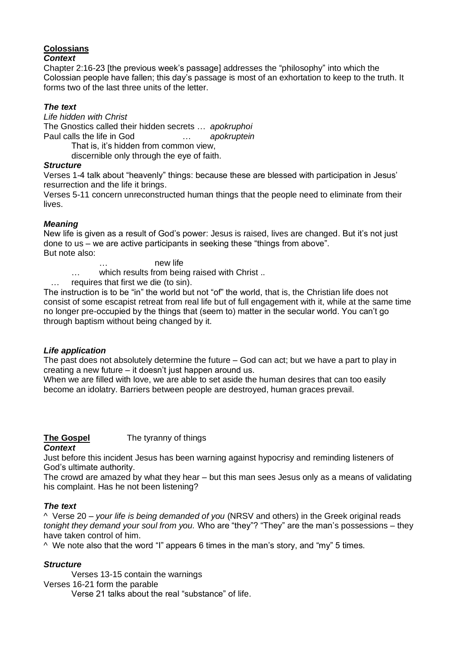# **Colossians**

### *Context*

Chapter 2:16-23 [the previous week's passage] addresses the "philosophy" into which the Colossian people have fallen; this day's passage is most of an exhortation to keep to the truth. It forms two of the last three units of the letter.

### *The text*

*Life hidden with Christ* The Gnostics called their hidden secrets … *apokruphoi* Paul calls the life in God … *apokruptein*

That is, it's hidden from common view,

discernible only through the eye of faith.

### *Structure*

Verses 1-4 talk about "heavenly" things: because these are blessed with participation in Jesus' resurrection and the life it brings.

Verses 5-11 concern unreconstructed human things that the people need to eliminate from their lives.

### *Meaning*

New life is given as a result of God's power: Jesus is raised, lives are changed. But it's not just done to us – we are active participants in seeking these "things from above". But note also:

… new life

… which results from being raised with Christ ..

requires that first we die (to sin).

The instruction is to be "in" the world but not "of" the world, that is, the Christian life does not consist of some escapist retreat from real life but of full engagement with it, while at the same time no longer pre-occupied by the things that (seem to) matter in the secular world. You can't go through baptism without being changed by it.

### *Life application*

The past does not absolutely determine the future – God can act; but we have a part to play in creating a new future – it doesn't just happen around us.

When we are filled with love, we are able to set aside the human desires that can too easily become an idolatry. Barriers between people are destroyed, human graces prevail.

#### **The Gospel** The tyranny of things *Context*

Just before this incident Jesus has been warning against hypocrisy and reminding listeners of God's ultimate authority.

The crowd are amazed by what they hear – but this man sees Jesus only as a means of validating his complaint. Has he not been listening?

# *The text*

^ Verse 20 – *your life is being demanded of you* (NRSV and others) in the Greek original reads *tonight they demand your soul from you.* Who are "they"? "They" are the man's possessions – they have taken control of him.

 $\land$  We note also that the word "I" appears 6 times in the man's story, and "my" 5 times.

# *Structure*

Verses 13-15 contain the warnings Verses 16-21 form the parable Verse 21 talks about the real "substance" of life.